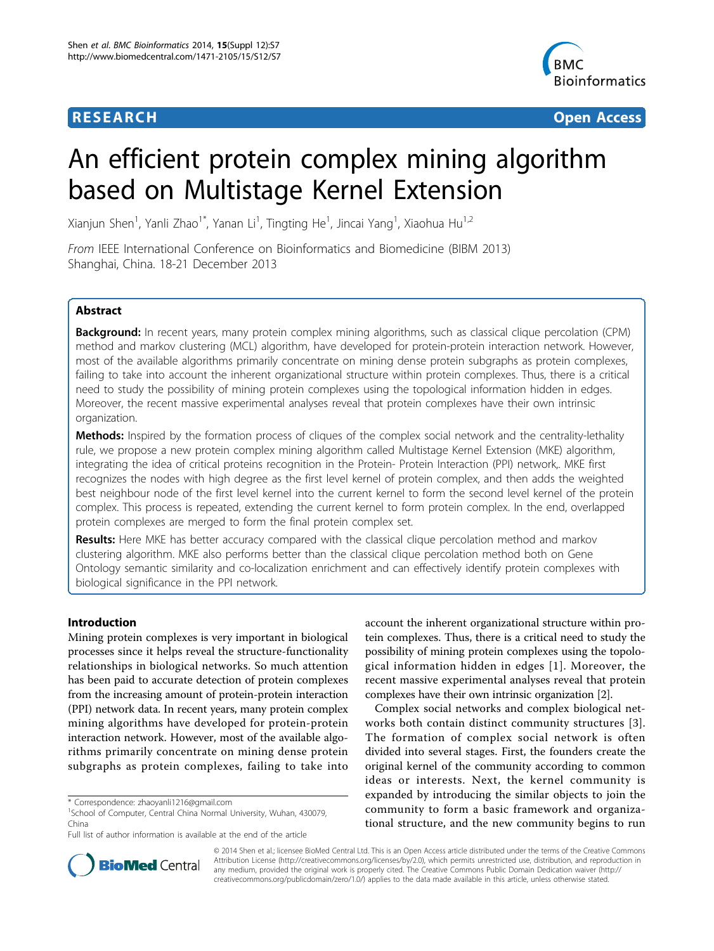# **RESEARCH CONSTRUCTION CONTROL**



# An efficient protein complex mining algorithm based on Multistage Kernel Extension

Xianjun Shen<sup>1</sup>, Yanli Zhao<sup>1\*</sup>, Yanan Li<sup>1</sup>, Tingting He<sup>1</sup>, Jincai Yang<sup>1</sup>, Xiaohua Hu<sup>1,2</sup>

From IEEE International Conference on Bioinformatics and Biomedicine (BIBM 2013) Shanghai, China. 18-21 December 2013

# Abstract

**Background:** In recent years, many protein complex mining algorithms, such as classical clique percolation (CPM) method and markov clustering (MCL) algorithm, have developed for protein-protein interaction network. However, most of the available algorithms primarily concentrate on mining dense protein subgraphs as protein complexes, failing to take into account the inherent organizational structure within protein complexes. Thus, there is a critical need to study the possibility of mining protein complexes using the topological information hidden in edges. Moreover, the recent massive experimental analyses reveal that protein complexes have their own intrinsic organization.

Methods: Inspired by the formation process of cliques of the complex social network and the centrality-lethality rule, we propose a new protein complex mining algorithm called Multistage Kernel Extension (MKE) algorithm, integrating the idea of critical proteins recognition in the Protein- Protein Interaction (PPI) network,. MKE first recognizes the nodes with high degree as the first level kernel of protein complex, and then adds the weighted best neighbour node of the first level kernel into the current kernel to form the second level kernel of the protein complex. This process is repeated, extending the current kernel to form protein complex. In the end, overlapped protein complexes are merged to form the final protein complex set.

Results: Here MKE has better accuracy compared with the classical clique percolation method and markov clustering algorithm. MKE also performs better than the classical clique percolation method both on Gene Ontology semantic similarity and co-localization enrichment and can effectively identify protein complexes with biological significance in the PPI network.

# Introduction

Mining protein complexes is very important in biological processes since it helps reveal the structure-functionality relationships in biological networks. So much attention has been paid to accurate detection of protein complexes from the increasing amount of protein-protein interaction (PPI) network data. In recent years, many protein complex mining algorithms have developed for protein-protein interaction network. However, most of the available algorithms primarily concentrate on mining dense protein subgraphs as protein complexes, failing to take into

account the inherent organizational structure within protein complexes. Thus, there is a critical need to study the possibility of mining protein complexes using the topological information hidden in edges [\[1\]](#page-8-0). Moreover, the recent massive experimental analyses reveal that protein complexes have their own intrinsic organization [\[2](#page-8-0)].

Complex social networks and complex biological networks both contain distinct community structures [[3](#page-8-0)]. The formation of complex social network is often divided into several stages. First, the founders create the original kernel of the community according to common ideas or interests. Next, the kernel community is expanded by introducing the similar objects to join the community to form a basic framework and organizational structure, and the new community begins to run



© 2014 Shen et al.; licensee BioMed Central Ltd. This is an Open Access article distributed under the terms of the Creative Commons Attribution License [\(http://creativecommons.org/licenses/by/2.0](http://creativecommons.org/licenses/by/2.0)), which permits unrestricted use, distribution, and reproduction in any medium, provided the original work is properly cited. The Creative Commons Public Domain Dedication waiver [\(http://](http://creativecommons.org/publicdomain/zero/1.0/) [creativecommons.org/publicdomain/zero/1.0/](http://creativecommons.org/publicdomain/zero/1.0/)) applies to the data made available in this article, unless otherwise stated.

<sup>\*</sup> Correspondence: [zhaoyanli1216@gmail.com](mailto:zhaoyanli1216@gmail.com)

<sup>&</sup>lt;sup>1</sup>School of Computer, Central China Normal University, Wuhan, 430079, China

Full list of author information is available at the end of the article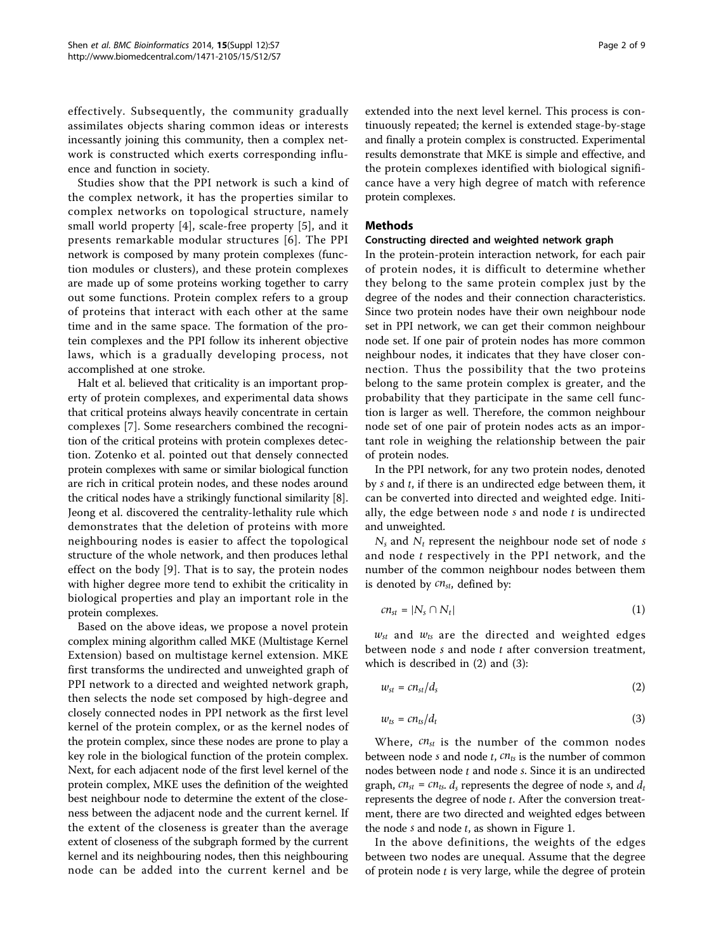effectively. Subsequently, the community gradually assimilates objects sharing common ideas or interests incessantly joining this community, then a complex network is constructed which exerts corresponding influence and function in society.

Studies show that the PPI network is such a kind of the complex network, it has the properties similar to complex networks on topological structure, namely small world property [\[4](#page-8-0)], scale-free property [[5\]](#page-8-0), and it presents remarkable modular structures [[6](#page-8-0)]. The PPI network is composed by many protein complexes (function modules or clusters), and these protein complexes are made up of some proteins working together to carry out some functions. Protein complex refers to a group of proteins that interact with each other at the same time and in the same space. The formation of the protein complexes and the PPI follow its inherent objective laws, which is a gradually developing process, not accomplished at one stroke.

Halt et al. believed that criticality is an important property of protein complexes, and experimental data shows that critical proteins always heavily concentrate in certain complexes [[7\]](#page-8-0). Some researchers combined the recognition of the critical proteins with protein complexes detection. Zotenko et al. pointed out that densely connected protein complexes with same or similar biological function are rich in critical protein nodes, and these nodes around the critical nodes have a strikingly functional similarity [[8](#page-8-0)]. Jeong et al. discovered the centrality-lethality rule which demonstrates that the deletion of proteins with more neighbouring nodes is easier to affect the topological structure of the whole network, and then produces lethal effect on the body [[9\]](#page-8-0). That is to say, the protein nodes with higher degree more tend to exhibit the criticality in biological properties and play an important role in the protein complexes.

Based on the above ideas, we propose a novel protein complex mining algorithm called MKE (Multistage Kernel Extension) based on multistage kernel extension. MKE first transforms the undirected and unweighted graph of PPI network to a directed and weighted network graph, then selects the node set composed by high-degree and closely connected nodes in PPI network as the first level kernel of the protein complex, or as the kernel nodes of the protein complex, since these nodes are prone to play a key role in the biological function of the protein complex. Next, for each adjacent node of the first level kernel of the protein complex, MKE uses the definition of the weighted best neighbour node to determine the extent of the closeness between the adjacent node and the current kernel. If the extent of the closeness is greater than the average extent of closeness of the subgraph formed by the current kernel and its neighbouring nodes, then this neighbouring node can be added into the current kernel and be

extended into the next level kernel. This process is continuously repeated; the kernel is extended stage-by-stage and finally a protein complex is constructed. Experimental results demonstrate that MKE is simple and effective, and the protein complexes identified with biological significance have a very high degree of match with reference protein complexes.

# Methods

# Constructing directed and weighted network graph

In the protein-protein interaction network, for each pair of protein nodes, it is difficult to determine whether they belong to the same protein complex just by the degree of the nodes and their connection characteristics. Since two protein nodes have their own neighbour node set in PPI network, we can get their common neighbour node set. If one pair of protein nodes has more common neighbour nodes, it indicates that they have closer connection. Thus the possibility that the two proteins belong to the same protein complex is greater, and the probability that they participate in the same cell function is larger as well. Therefore, the common neighbour node set of one pair of protein nodes acts as an important role in weighing the relationship between the pair of protein nodes.

In the PPI network, for any two protein nodes, denoted by *s* and *t*, if there is an undirected edge between them, it can be converted into directed and weighted edge. Initially, the edge between node *s* and node *t* is undirected and unweighted.

*Ns* and *Nt* represent the neighbour node set of node *s* and node *t* respectively in the PPI network, and the number of the common neighbour nodes between them is denoted by  $cn_{st}$ , defined by:

$$
cn_{st} = |N_s \cap N_t| \tag{1}
$$

 $w_{st}$  and  $w_{ts}$  are the directed and weighted edges between node *s* and node *t* after conversion treatment, which is described in (2) and (3):

$$
w_{st} = cn_{st}/d_s \tag{2}
$$

$$
w_{ts} = cn_{ts}/d_t \tag{3}
$$

Where,  $cn_{st}$  is the number of the common nodes between node *s* and node *t*, *cnts* is the number of common nodes between node *t* and node *s*. Since it is an undirected graph,  $cn_{st} = cn_{ts}$ .  $d_s$  represents the degree of node *s*, and  $d_t$ represents the degree of node *t*. After the conversion treatment, there are two directed and weighted edges between the node *s* and node *t*, as shown in Figure [1.](#page-2-0)

In the above definitions, the weights of the edges between two nodes are unequal. Assume that the degree of protein node *t* is very large, while the degree of protein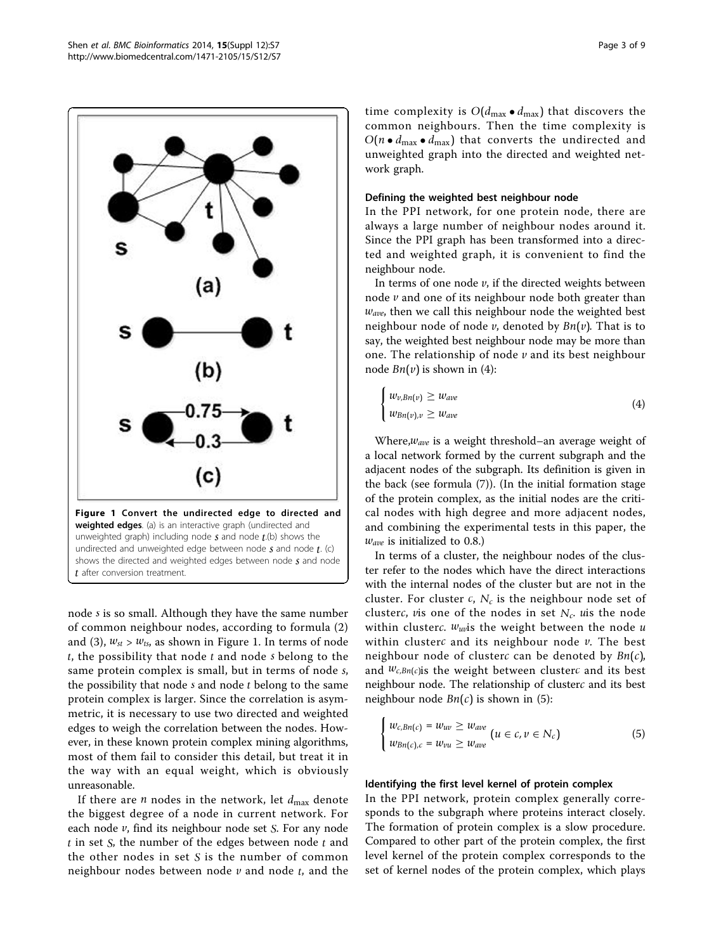<span id="page-2-0"></span>

node *s* is so small. Although they have the same number of common neighbour nodes, according to formula (2) and (3),  $w_{st} > w_{ts}$ , as shown in Figure 1. In terms of node *t*, the possibility that node *t* and node *s* belong to the same protein complex is small, but in terms of node *s*, the possibility that node *s* and node *t* belong to the same protein complex is larger. Since the correlation is asymmetric, it is necessary to use two directed and weighted edges to weigh the correlation between the nodes. However, in these known protein complex mining algorithms, most of them fail to consider this detail, but treat it in the way with an equal weight, which is obviously unreasonable.

If there are *n* nodes in the network, let  $d_{\text{max}}$  denote the biggest degree of a node in current network. For each node *v*, find its neighbour node set *S*. For any node *t* in set *S*, the number of the edges between node *t* and the other nodes in set *S* is the number of common neighbour nodes between node *v* and node *t*, and the time complexity is  $O(d_{\text{max}} \bullet d_{\text{max}})$  that discovers the common neighbours. Then the time complexity is  $O(n \cdot d_{\text{max}} \cdot d_{\text{max}})$  that converts the undirected and unweighted graph into the directed and weighted network graph.

# Defining the weighted best neighbour node

In the PPI network, for one protein node, there are always a large number of neighbour nodes around it. Since the PPI graph has been transformed into a directed and weighted graph, it is convenient to find the neighbour node.

In terms of one node  $v$ , if the directed weights between node *v* and one of its neighbour node both greater than *wave*, then we call this neighbour node the weighted best neighbour node of node *v*, denoted by *Bn*(*v*). That is to say, the weighted best neighbour node may be more than one. The relationship of node *v* and its best neighbour node  $Bn(v)$  is shown in (4):

$$
\begin{cases} w_{v,Bn(v)} \ge w_{ave} \\ w_{Bn(v),v} \ge w_{ave} \end{cases} \tag{4}
$$

Where,*wave* is a weight threshold–an average weight of a local network formed by the current subgraph and the adjacent nodes of the subgraph. Its definition is given in the back (see formula (7)). (In the initial formation stage of the protein complex, as the initial nodes are the critical nodes with high degree and more adjacent nodes, and combining the experimental tests in this paper, the *wave* is initialized to 0.8.)

In terms of a cluster, the neighbour nodes of the cluster refer to the nodes which have the direct interactions with the internal nodes of the cluster but are not in the cluster. For cluster  $c$ ,  $N_c$  is the neighbour node set of clusterc, *v*is one of the nodes in set  $N_c$ . *u*is the node within cluster*c*. *wuv*is the weight between the node *u* within cluster*c* and its neighbour node *v*. The best neighbour node of cluster*c* can be denoted by *Bn*(*c*), and *wc*,*Bn*(*c*)is the weight between cluster*c* and its best neighbour node. The relationship of cluster*c* and its best neighbour node  $Bn(c)$  is shown in (5):

$$
\begin{cases} w_{c,Bn(c)} = w_{uv} \ge w_{ave} \\ w_{Bn(c),c} = w_{vu} \ge w_{ave} \ (u \in c, v \in N_c) \end{cases} \tag{5}
$$

# Identifying the first level kernel of protein complex

In the PPI network, protein complex generally corresponds to the subgraph where proteins interact closely. The formation of protein complex is a slow procedure. Compared to other part of the protein complex, the first level kernel of the protein complex corresponds to the set of kernel nodes of the protein complex, which plays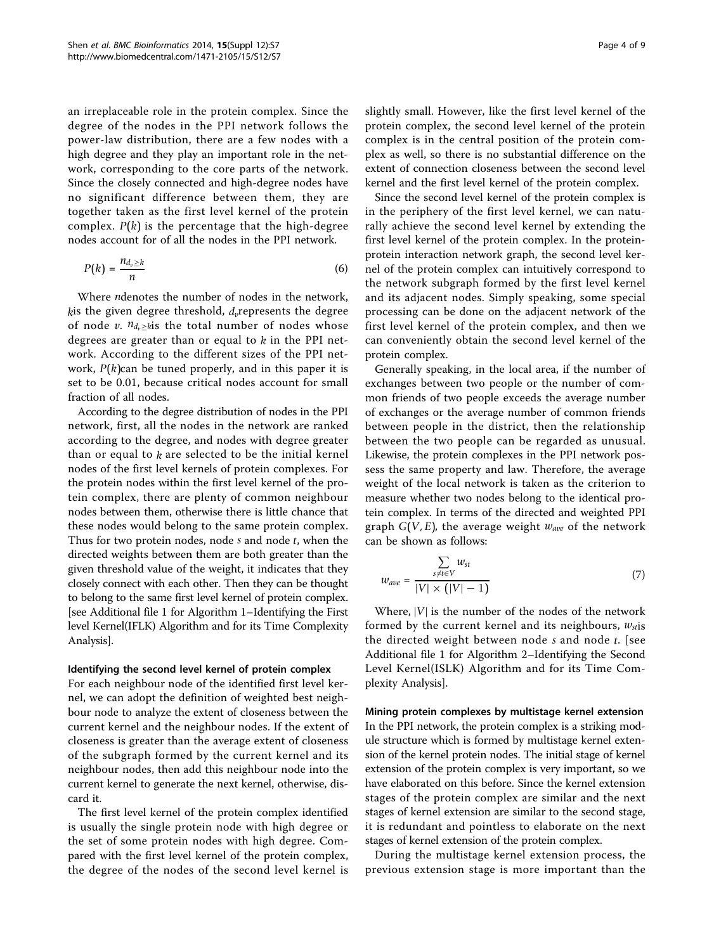an irreplaceable role in the protein complex. Since the degree of the nodes in the PPI network follows the power-law distribution, there are a few nodes with a high degree and they play an important role in the network, corresponding to the core parts of the network. Since the closely connected and high-degree nodes have no significant difference between them, they are together taken as the first level kernel of the protein complex. *P*(*k*) is the percentage that the high-degree nodes account for of all the nodes in the PPI network.

$$
P(k) = \frac{n_{d_v \ge k}}{n} \tag{6}
$$

Where *n*denotes the number of nodes in the network, *k*is the given degree threshold,  $d_v$  represents the degree of node *v*.  $n_{d_v\geq k}$  is the total number of nodes whose degrees are greater than or equal to *k* in the PPI network. According to the different sizes of the PPI network, *P*(*k*)can be tuned properly, and in this paper it is set to be 0.01, because critical nodes account for small fraction of all nodes.

According to the degree distribution of nodes in the PPI network, first, all the nodes in the network are ranked according to the degree, and nodes with degree greater than or equal to  $k$  are selected to be the initial kernel nodes of the first level kernels of protein complexes. For the protein nodes within the first level kernel of the protein complex, there are plenty of common neighbour nodes between them, otherwise there is little chance that these nodes would belong to the same protein complex. Thus for two protein nodes, node *s* and node *t*, when the directed weights between them are both greater than the given threshold value of the weight, it indicates that they closely connect with each other. Then they can be thought to belong to the same first level kernel of protein complex. [see Additional file [1](#page-8-0) for Algorithm 1–Identifying the First level Kernel(IFLK) Algorithm and for its Time Complexity Analysis].

#### Identifying the second level kernel of protein complex

For each neighbour node of the identified first level kernel, we can adopt the definition of weighted best neighbour node to analyze the extent of closeness between the current kernel and the neighbour nodes. If the extent of closeness is greater than the average extent of closeness of the subgraph formed by the current kernel and its neighbour nodes, then add this neighbour node into the current kernel to generate the next kernel, otherwise, discard it.

The first level kernel of the protein complex identified is usually the single protein node with high degree or the set of some protein nodes with high degree. Compared with the first level kernel of the protein complex, the degree of the nodes of the second level kernel is slightly small. However, like the first level kernel of the protein complex, the second level kernel of the protein complex is in the central position of the protein complex as well, so there is no substantial difference on the extent of connection closeness between the second level kernel and the first level kernel of the protein complex.

Since the second level kernel of the protein complex is in the periphery of the first level kernel, we can naturally achieve the second level kernel by extending the first level kernel of the protein complex. In the proteinprotein interaction network graph, the second level kernel of the protein complex can intuitively correspond to the network subgraph formed by the first level kernel and its adjacent nodes. Simply speaking, some special processing can be done on the adjacent network of the first level kernel of the protein complex, and then we can conveniently obtain the second level kernel of the protein complex.

Generally speaking, in the local area, if the number of exchanges between two people or the number of common friends of two people exceeds the average number of exchanges or the average number of common friends between people in the district, then the relationship between the two people can be regarded as unusual. Likewise, the protein complexes in the PPI network possess the same property and law. Therefore, the average weight of the local network is taken as the criterion to measure whether two nodes belong to the identical protein complex. In terms of the directed and weighted PPI graph  $G(V, E)$ , the average weight  $w_{ave}$  of the network can be shown as follows:

$$
w_{ave} = \frac{\sum_{s \neq t \in V} w_{st}}{|V| \times (|V| - 1)}
$$
(7)

Where, |*V*| is the number of the nodes of the network formed by the current kernel and its neighbours, *wst*is the directed weight between node *s* and node *t*. [see Additional file [1](#page-8-0) for Algorithm 2–Identifying the Second Level Kernel(ISLK) Algorithm and for its Time Complexity Analysis].

Mining protein complexes by multistage kernel extension In the PPI network, the protein complex is a striking module structure which is formed by multistage kernel extension of the kernel protein nodes. The initial stage of kernel extension of the protein complex is very important, so we have elaborated on this before. Since the kernel extension stages of the protein complex are similar and the next stages of kernel extension are similar to the second stage, it is redundant and pointless to elaborate on the next stages of kernel extension of the protein complex.

During the multistage kernel extension process, the previous extension stage is more important than the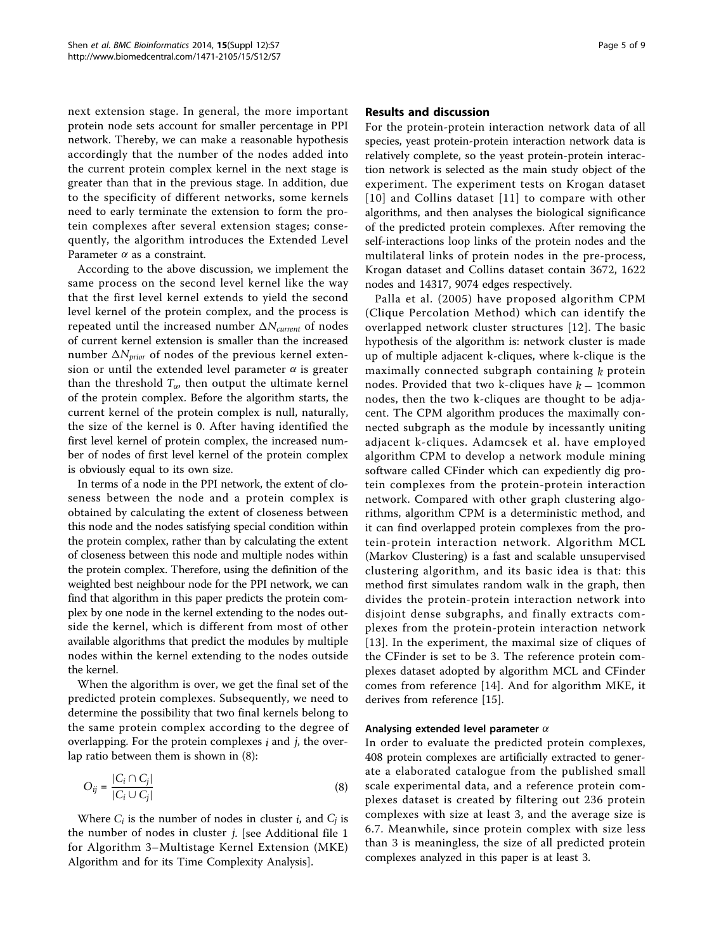next extension stage. In general, the more important protein node sets account for smaller percentage in PPI network. Thereby, we can make a reasonable hypothesis accordingly that the number of the nodes added into the current protein complex kernel in the next stage is greater than that in the previous stage. In addition, due to the specificity of different networks, some kernels need to early terminate the extension to form the protein complexes after several extension stages; consequently, the algorithm introduces the Extended Level Parameter  $\alpha$  as a constraint.

According to the above discussion, we implement the same process on the second level kernel like the way that the first level kernel extends to yield the second level kernel of the protein complex, and the process is repeated until the increased number  $\Delta N_{current}$  of nodes of current kernel extension is smaller than the increased number  $\Delta N_{prior}$  of nodes of the previous kernel extension or until the extended level parameter  $\alpha$  is greater than the threshold  $T_{\alpha}$ , then output the ultimate kernel of the protein complex. Before the algorithm starts, the current kernel of the protein complex is null, naturally, the size of the kernel is 0. After having identified the first level kernel of protein complex, the increased number of nodes of first level kernel of the protein complex is obviously equal to its own size.

In terms of a node in the PPI network, the extent of closeness between the node and a protein complex is obtained by calculating the extent of closeness between this node and the nodes satisfying special condition within the protein complex, rather than by calculating the extent of closeness between this node and multiple nodes within the protein complex. Therefore, using the definition of the weighted best neighbour node for the PPI network, we can find that algorithm in this paper predicts the protein complex by one node in the kernel extending to the nodes outside the kernel, which is different from most of other available algorithms that predict the modules by multiple nodes within the kernel extending to the nodes outside the kernel.

When the algorithm is over, we get the final set of the predicted protein complexes. Subsequently, we need to determine the possibility that two final kernels belong to the same protein complex according to the degree of overlapping. For the protein complexes *i* and *j*, the overlap ratio between them is shown in (8):

$$
O_{ij} = \frac{|C_i \cap C_j|}{|C_i \cup C_j|} \tag{8}
$$

Where  $C_i$  is the number of nodes in cluster *i*, and  $C_j$  is the number of nodes in cluster *j*. [see Additional file [1](#page-8-0) for Algorithm 3–Multistage Kernel Extension (MKE) Algorithm and for its Time Complexity Analysis].

## Results and discussion

For the protein-protein interaction network data of all species, yeast protein-protein interaction network data is relatively complete, so the yeast protein-protein interaction network is selected as the main study object of the experiment. The experiment tests on Krogan dataset [[10\]](#page-8-0) and Collins dataset [[11](#page-8-0)] to compare with other algorithms, and then analyses the biological significance of the predicted protein complexes. After removing the self-interactions loop links of the protein nodes and the multilateral links of protein nodes in the pre-process, Krogan dataset and Collins dataset contain 3672, 1622 nodes and 14317, 9074 edges respectively.

Palla et al. (2005) have proposed algorithm CPM (Clique Percolation Method) which can identify the overlapped network cluster structures [[12\]](#page-8-0). The basic hypothesis of the algorithm is: network cluster is made up of multiple adjacent k-cliques, where k-clique is the maximally connected subgraph containing *k* protein nodes. Provided that two k-cliques have *k* − 1common nodes, then the two k-cliques are thought to be adjacent. The CPM algorithm produces the maximally connected subgraph as the module by incessantly uniting adjacent k-cliques. Adamcsek et al. have employed algorithm CPM to develop a network module mining software called CFinder which can expediently dig protein complexes from the protein-protein interaction network. Compared with other graph clustering algorithms, algorithm CPM is a deterministic method, and it can find overlapped protein complexes from the protein-protein interaction network. Algorithm MCL (Markov Clustering) is a fast and scalable unsupervised clustering algorithm, and its basic idea is that: this method first simulates random walk in the graph, then divides the protein-protein interaction network into disjoint dense subgraphs, and finally extracts complexes from the protein-protein interaction network [[13](#page-8-0)]. In the experiment, the maximal size of cliques of the CFinder is set to be 3. The reference protein complexes dataset adopted by algorithm MCL and CFinder comes from reference [[14\]](#page-8-0). And for algorithm MKE, it derives from reference [\[15](#page-8-0)].

# Analysing extended level parameter  $\alpha$

In order to evaluate the predicted protein complexes, 408 protein complexes are artificially extracted to generate a elaborated catalogue from the published small scale experimental data, and a reference protein complexes dataset is created by filtering out 236 protein complexes with size at least 3, and the average size is 6.7. Meanwhile, since protein complex with size less than 3 is meaningless, the size of all predicted protein complexes analyzed in this paper is at least 3.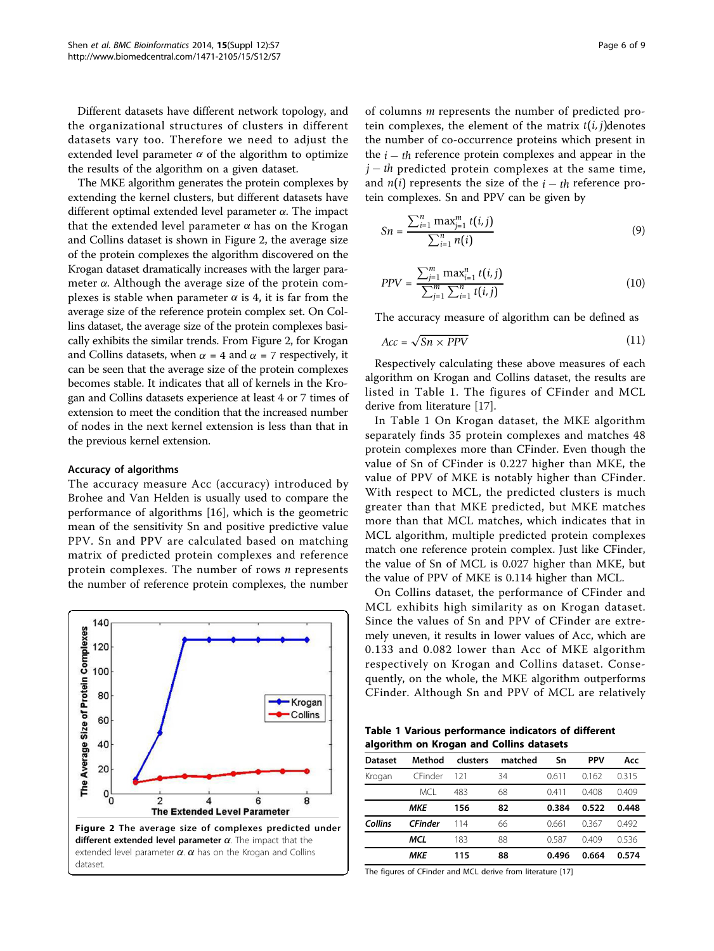Different datasets have different network topology, and the organizational structures of clusters in different datasets vary too. Therefore we need to adjust the extended level parameter  $\alpha$  of the algorithm to optimize the results of the algorithm on a given dataset.

The MKE algorithm generates the protein complexes by extending the kernel clusters, but different datasets have different optimal extended level parameter  $\alpha$ . The impact that the extended level parameter  $\alpha$  has on the Krogan and Collins dataset is shown in Figure 2, the average size of the protein complexes the algorithm discovered on the Krogan dataset dramatically increases with the larger parameter  $\alpha$ . Although the average size of the protein complexes is stable when parameter  $\alpha$  is 4, it is far from the average size of the reference protein complex set. On Collins dataset, the average size of the protein complexes basically exhibits the similar trends. From Figure 2, for Krogan and Collins datasets, when  $\alpha = 4$  and  $\alpha = 7$  respectively, it can be seen that the average size of the protein complexes becomes stable. It indicates that all of kernels in the Krogan and Collins datasets experience at least 4 or 7 times of extension to meet the condition that the increased number of nodes in the next kernel extension is less than that in the previous kernel extension.

# Accuracy of algorithms

The accuracy measure Acc (accuracy) introduced by Brohee and Van Helden is usually used to compare the performance of algorithms [[16](#page-8-0)], which is the geometric mean of the sensitivity Sn and positive predictive value PPV. Sn and PPV are calculated based on matching matrix of predicted protein complexes and reference protein complexes. The number of rows *n* represents the number of reference protein complexes, the number



of columns *m* represents the number of predicted protein complexes, the element of the matrix  $t(i, j)$ denotes the number of co-occurrence proteins which present in the  $i - th$  reference protein complexes and appear in the *j* − *th* predicted protein complexes at the same time, and  $n(i)$  represents the size of the  $i - th$  reference protein complexes. Sn and PPV can be given by

$$
Sn = \frac{\sum_{i=1}^{n} \max_{j=1}^{m} t(i,j)}{\sum_{i=1}^{n} n(i)}
$$
(9)

$$
PPV = \frac{\sum_{j=1}^{m} \max_{i=1}^{n} t(i,j)}{\sum_{j=1}^{m} \sum_{i=1}^{n} t(i,j)}
$$
(10)

The accuracy measure of algorithm can be defined as

$$
Acc = \sqrt{Sn \times PPV} \tag{11}
$$

Respectively calculating these above measures of each algorithm on Krogan and Collins dataset, the results are listed in Table 1. The figures of CFinder and MCL derive from literature [\[17\]](#page-8-0).

In Table 1 On Krogan dataset, the MKE algorithm separately finds 35 protein complexes and matches 48 protein complexes more than CFinder. Even though the value of Sn of CFinder is 0.227 higher than MKE, the value of PPV of MKE is notably higher than CFinder. With respect to MCL, the predicted clusters is much greater than that MKE predicted, but MKE matches more than that MCL matches, which indicates that in MCL algorithm, multiple predicted protein complexes match one reference protein complex. Just like CFinder, the value of Sn of MCL is 0.027 higher than MKE, but the value of PPV of MKE is 0.114 higher than MCL.

On Collins dataset, the performance of CFinder and MCL exhibits high similarity as on Krogan dataset. Since the values of Sn and PPV of CFinder are extremely uneven, it results in lower values of Acc, which are 0.133 and 0.082 lower than Acc of MKE algorithm respectively on Krogan and Collins dataset. Consequently, on the whole, the MKE algorithm outperforms CFinder. Although Sn and PPV of MCL are relatively

Table 1 Various performance indicators of different algorithm on Krogan and Collins datasets

| <b>Dataset</b> | Method         | clusters | matched | Sn    | <b>PPV</b> | Acc   |
|----------------|----------------|----------|---------|-------|------------|-------|
| Krogan         | CFinder        | 121      | 34      | 0.611 | 0.162      | 0.315 |
|                | MCL            | 483      | 68      | 0.411 | 0.408      | 0.409 |
|                | <b>MKE</b>     | 156      | 82      | 0.384 | 0.522      | 0.448 |
| Collins        | <b>CFinder</b> | 114      | 66      | 0.661 | 0.367      | 0.492 |
|                | MCL            | 183      | 88      | 0.587 | 0.409      | 0.536 |
|                | <b>MKE</b>     | 115      | 88      | 0.496 | 0.664      | 0.574 |

The figures of CFinder and MCL derive from literature [\[17](#page-8-0)]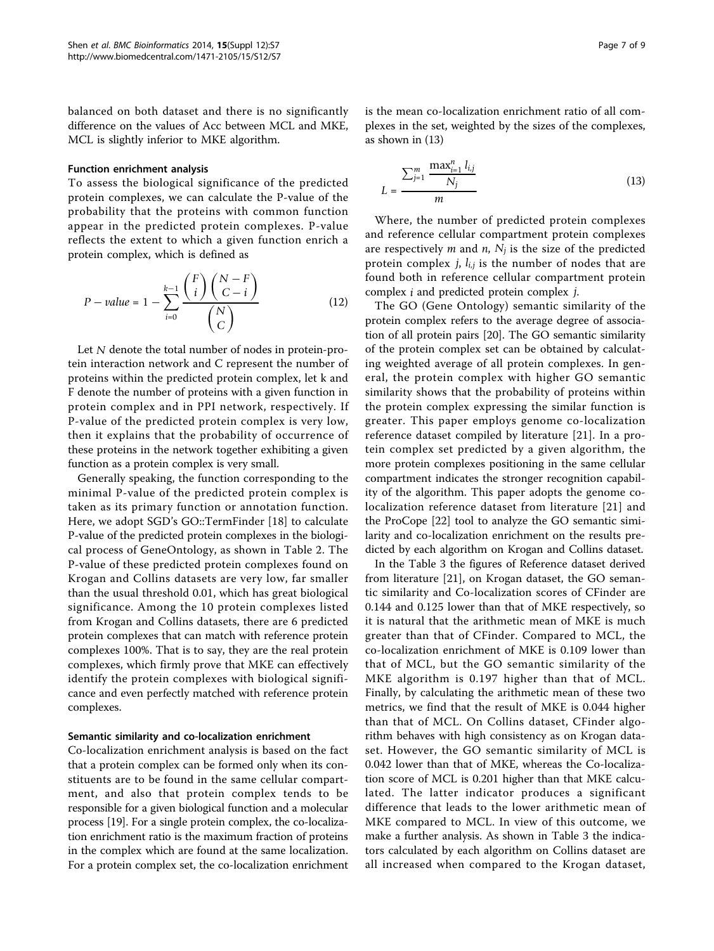balanced on both dataset and there is no significantly difference on the values of Acc between MCL and MKE, MCL is slightly inferior to MKE algorithm.

#### Function enrichment analysis

To assess the biological significance of the predicted protein complexes, we can calculate the P-value of the probability that the proteins with common function appear in the predicted protein complexes. P-value reflects the extent to which a given function enrich a protein complex, which is defined as

$$
P-value = 1 - \sum_{i=0}^{k-1} \frac{\binom{F}{i} \binom{N-F}{C-i}}{\binom{N}{C}}
$$
(12)

Let *N* denote the total number of nodes in protein-protein interaction network and C represent the number of proteins within the predicted protein complex, let k and F denote the number of proteins with a given function in protein complex and in PPI network, respectively. If P-value of the predicted protein complex is very low, then it explains that the probability of occurrence of these proteins in the network together exhibiting a given function as a protein complex is very small.

Generally speaking, the function corresponding to the minimal P-value of the predicted protein complex is taken as its primary function or annotation function. Here, we adopt SGD's GO::TermFinder [[18\]](#page-8-0) to calculate P-value of the predicted protein complexes in the biological process of GeneOntology, as shown in Table [2.](#page-7-0) The P-value of these predicted protein complexes found on Krogan and Collins datasets are very low, far smaller than the usual threshold 0.01, which has great biological significance. Among the 10 protein complexes listed from Krogan and Collins datasets, there are 6 predicted protein complexes that can match with reference protein complexes 100%. That is to say, they are the real protein complexes, which firmly prove that MKE can effectively identify the protein complexes with biological significance and even perfectly matched with reference protein complexes.

# Semantic similarity and co-localization enrichment

Co-localization enrichment analysis is based on the fact that a protein complex can be formed only when its constituents are to be found in the same cellular compartment, and also that protein complex tends to be responsible for a given biological function and a molecular process [\[19\]](#page-8-0). For a single protein complex, the co-localization enrichment ratio is the maximum fraction of proteins in the complex which are found at the same localization. For a protein complex set, the co-localization enrichment is the mean co-localization enrichment ratio of all complexes in the set, weighted by the sizes of the complexes, as shown in (13)

$$
L = \frac{\sum_{j=1}^{m} \frac{\max_{i=1}^{n} l_{i,j}}{N_j}}{m}
$$
 (13)

Where, the number of predicted protein complexes and reference cellular compartment protein complexes are respectively  $m$  and  $n$ ,  $N_j$  is the size of the predicted protein complex  $j$ ,  $l_{i,j}$  is the number of nodes that are found both in reference cellular compartment protein complex *i* and predicted protein complex *j*.

The GO (Gene Ontology) semantic similarity of the protein complex refers to the average degree of association of all protein pairs [\[20\]](#page-8-0). The GO semantic similarity of the protein complex set can be obtained by calculating weighted average of all protein complexes. In general, the protein complex with higher GO semantic similarity shows that the probability of proteins within the protein complex expressing the similar function is greater. This paper employs genome co-localization reference dataset compiled by literature [[21](#page-8-0)]. In a protein complex set predicted by a given algorithm, the more protein complexes positioning in the same cellular compartment indicates the stronger recognition capability of the algorithm. This paper adopts the genome colocalization reference dataset from literature [[21](#page-8-0)] and the ProCope [\[22](#page-8-0)] tool to analyze the GO semantic similarity and co-localization enrichment on the results predicted by each algorithm on Krogan and Collins dataset.

In the Table [3](#page-7-0) the figures of Reference dataset derived from literature [[21\]](#page-8-0), on Krogan dataset, the GO semantic similarity and Co-localization scores of CFinder are 0.144 and 0.125 lower than that of MKE respectively, so it is natural that the arithmetic mean of MKE is much greater than that of CFinder. Compared to MCL, the co-localization enrichment of MKE is 0.109 lower than that of MCL, but the GO semantic similarity of the MKE algorithm is 0.197 higher than that of MCL. Finally, by calculating the arithmetic mean of these two metrics, we find that the result of MKE is 0.044 higher than that of MCL. On Collins dataset, CFinder algorithm behaves with high consistency as on Krogan dataset. However, the GO semantic similarity of MCL is 0.042 lower than that of MKE, whereas the Co-localization score of MCL is 0.201 higher than that MKE calculated. The latter indicator produces a significant difference that leads to the lower arithmetic mean of MKE compared to MCL. In view of this outcome, we make a further analysis. As shown in Table [3](#page-7-0) the indicators calculated by each algorithm on Collins dataset are all increased when compared to the Krogan dataset,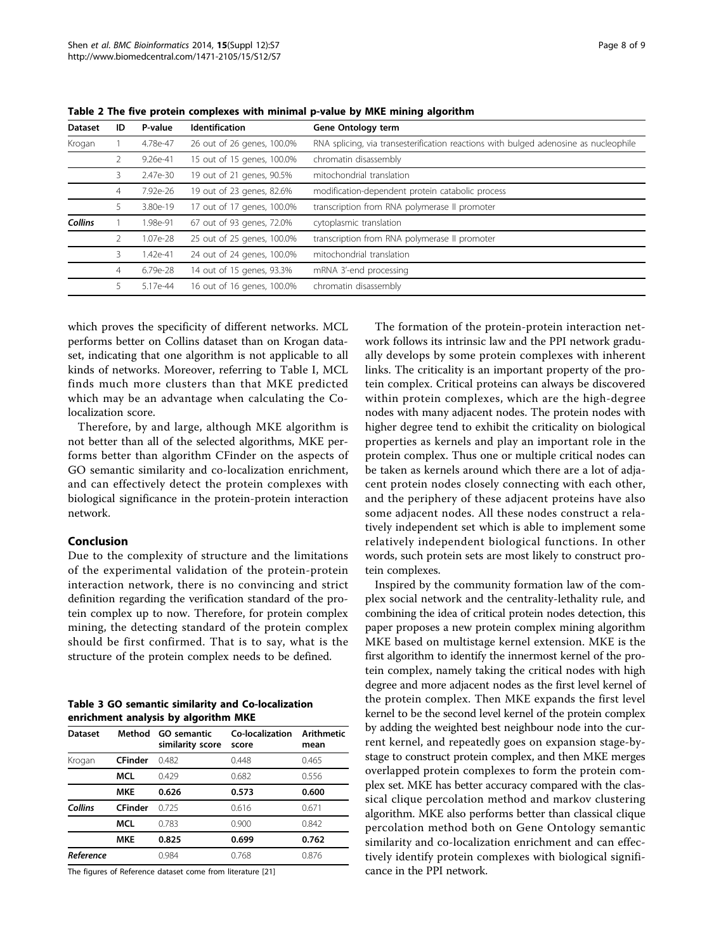| <b>Dataset</b>                              | ID | P-value  | <b>Identification</b>                         | Gene Ontology term                                                                   |
|---------------------------------------------|----|----------|-----------------------------------------------|--------------------------------------------------------------------------------------|
| Krogan                                      |    | 4.78e-47 | 26 out of 26 genes, 100.0%                    | RNA splicing, via transesterification reactions with bulged adenosine as nucleophile |
|                                             |    | 9.26e-41 | 15 out of 15 genes, 100.0%                    | chromatin disassembly                                                                |
|                                             | 3  | 2.47e-30 | 19 out of 21 genes, 90.5%                     | mitochondrial translation                                                            |
|                                             | 4  | 7.92e-26 | 19 out of 23 genes, 82.6%                     | modification-dependent protein catabolic process                                     |
| 17 out of 17 genes, 100.0%<br>5<br>3.80e-19 |    |          | transcription from RNA polymerase II promoter |                                                                                      |
| Collins                                     |    | 1.98e-91 | 67 out of 93 genes, 72.0%                     | cytoplasmic translation                                                              |
|                                             | 2  | 1.07e-28 | 25 out of 25 genes, 100.0%                    | transcription from RNA polymerase II promoter                                        |
|                                             | 3  | 1.42e-41 | 24 out of 24 genes, 100.0%                    | mitochondrial translation                                                            |
|                                             | 4  | 6.79e-28 | 14 out of 15 genes, 93.3%                     | mRNA 3'-end processing                                                               |
|                                             | 5  | 5.17e-44 | 16 out of 16 genes, 100.0%                    | chromatin disassembly                                                                |

<span id="page-7-0"></span>Table 2 The five protein complexes with minimal p-value by MKE mining algorithm

which proves the specificity of different networks. MCL performs better on Collins dataset than on Krogan dataset, indicating that one algorithm is not applicable to all kinds of networks. Moreover, referring to Table I, MCL finds much more clusters than that MKE predicted which may be an advantage when calculating the Colocalization score.

Therefore, by and large, although MKE algorithm is not better than all of the selected algorithms, MKE performs better than algorithm CFinder on the aspects of GO semantic similarity and co-localization enrichment, and can effectively detect the protein complexes with biological significance in the protein-protein interaction network.

# Conclusion

Due to the complexity of structure and the limitations of the experimental validation of the protein-protein interaction network, there is no convincing and strict definition regarding the verification standard of the protein complex up to now. Therefore, for protein complex mining, the detecting standard of the protein complex should be first confirmed. That is to say, what is the structure of the protein complex needs to be defined.

Table 3 GO semantic similarity and Co-localization enrichment analysis by algorithm MKE

| <b>Dataset</b> |                | Method GO semantic<br>similarity score | Co-localization<br>score | <b>Arithmetic</b><br>mean |
|----------------|----------------|----------------------------------------|--------------------------|---------------------------|
| Krogan         | <b>CFinder</b> | 0.482                                  | 0.448                    | 0.465                     |
|                | MCL            | 0.429                                  | 0.682                    | 0.556                     |
|                | <b>MKE</b>     | 0.626                                  | 0.573                    | 0.600                     |
| Collins        | <b>CFinder</b> | 0725                                   | 0.616                    | 0.671                     |
|                | MCL            | 0.783                                  | 0.900                    | 0.842                     |
|                | <b>MKE</b>     | 0.825                                  | 0.699                    | 0.762                     |
| Reference      |                | 0.984                                  | 0.768                    | 0.876                     |

The figures of Reference dataset come from literature [[21\]](#page-8-0)

The formation of the protein-protein interaction network follows its intrinsic law and the PPI network gradually develops by some protein complexes with inherent links. The criticality is an important property of the protein complex. Critical proteins can always be discovered within protein complexes, which are the high-degree nodes with many adjacent nodes. The protein nodes with higher degree tend to exhibit the criticality on biological properties as kernels and play an important role in the protein complex. Thus one or multiple critical nodes can be taken as kernels around which there are a lot of adjacent protein nodes closely connecting with each other, and the periphery of these adjacent proteins have also some adjacent nodes. All these nodes construct a relatively independent set which is able to implement some relatively independent biological functions. In other words, such protein sets are most likely to construct protein complexes.

Inspired by the community formation law of the complex social network and the centrality-lethality rule, and combining the idea of critical protein nodes detection, this paper proposes a new protein complex mining algorithm MKE based on multistage kernel extension. MKE is the first algorithm to identify the innermost kernel of the protein complex, namely taking the critical nodes with high degree and more adjacent nodes as the first level kernel of the protein complex. Then MKE expands the first level kernel to be the second level kernel of the protein complex by adding the weighted best neighbour node into the current kernel, and repeatedly goes on expansion stage-bystage to construct protein complex, and then MKE merges overlapped protein complexes to form the protein complex set. MKE has better accuracy compared with the classical clique percolation method and markov clustering algorithm. MKE also performs better than classical clique percolation method both on Gene Ontology semantic similarity and co-localization enrichment and can effectively identify protein complexes with biological significance in the PPI network.